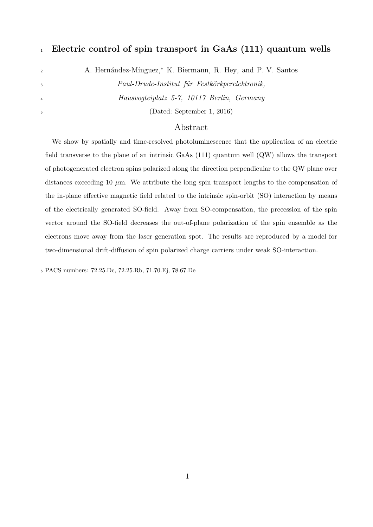## <sup>1</sup> **Electric control of spin transport in GaAs (111) quantum wells**

<sup>2</sup> <sup>*∤</sup>* A. Hernández-Mínguez,<sup>\*</sup> K. Biermann, R. Hey, and P. V. Santos</sup>

<sup>3</sup> *Paul-Drude-Institut für Festkörkperelektronik,* <sup>4</sup> *Hausvogteiplatz 5-7, 10117 Berlin, Germany*

<sup>5</sup> (Dated: September 1, 2016)

## Abstract

We show by spatially and time-resolved photoluminescence that the application of an electric field transverse to the plane of an intrinsic GaAs (111) quantum well (QW) allows the transport of photogenerated electron spins polarized along the direction perpendicular to the QW plane over distances exceeding 10  $\mu$ m. We attribute the long spin transport lengths to the compensation of the in-plane effective magnetic field related to the intrinsic spin-orbit (SO) interaction by means of the electrically generated SO-field. Away from SO-compensation, the precession of the spin vector around the SO-field decreases the out-of-plane polarization of the spin ensemble as the electrons move away from the laser generation spot. The results are reproduced by a model for two-dimensional drift-diffusion of spin polarized charge carriers under weak SO-interaction.

<sup>6</sup> PACS numbers: 72.25.Dc, 72.25.Rb, 71.70.Ej, 78.67.De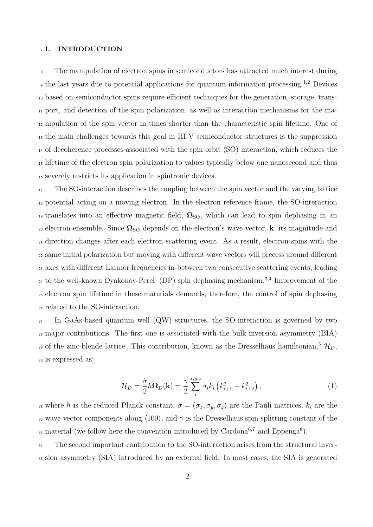#### <sup>7</sup> **I. INTRODUCTION**

 The manipulation of electron spins in semiconductors has attracted much interest during the last years due to potential applications for quantum information processing.<sup>1,2</sup> Devices based on semiconductor spins require efficient techniques for the generation, storage, trans- port, and detection of the spin polarization, as well as interaction mechanisms for the ma- nipulation of the spin vector in times shorter than the characteristic spin lifetime. One of the main challenges towards this goal in III-V semiconductor structures is the suppression of decoherence processes associated with the spin-orbit (SO) interaction, which reduces the lifetime of the electron spin polarization to values typically below one nanosecond and thus severely restricts its application in spintronic devices.

 The SO-interaction describes the coupling between the spin vector and the varying lattice potential acting on a moving electron. In the electron reference frame, the SO-interaction <sup>19</sup> translates into an effective magnetic field,  $\Omega_{\text{SO}}$ , which can lead to spin dephasing in an 20 electron ensemble. Since  $\Omega_{\text{SO}}$  depends on the electron's wave vector, **k**, its magnitude and direction changes after each electron scattering event. As a result, electron spins with the same initial polarization but moving with different wave vectors will precess around different axes with different Larmor frequencies in-between two consecutive scattering events, leading <sup>24</sup> to the well-known Dyakonov-Perel' (DP) spin dephasing mechanism.<sup>3,4</sup> Improvement of the electron spin lifetime in these materials demands, therefore, the control of spin dephasing related to the SO-interaction.

 In GaAs-based quantum well (QW) structures, the SO-interaction is governed by two major contributions. The first one is associated with the bulk inversion asymmetry (BIA) <sup>29</sup> of the zinc-blende lattice. This contribution, known as the Dresselhaus hamiltonian,<sup>5</sup>  $\mathcal{H}_D$ , is expressed as:

$$
\mathcal{H}_D = \frac{\hat{\sigma}}{2} \hbar \Omega_D(\mathbf{k}) = \frac{\gamma}{2} \sum_{i}^{x, y, z} \sigma_i k_i \left( k_{i+1}^2 - k_{i+2}^2 \right), \tag{1}
$$

31 where  $\hbar$  is the reduced Planck constant,  $\hat{\sigma} = (\sigma_x, \sigma_y, \sigma_z)$  are the Pauli matrices,  $k_i$  are the <sup>32</sup> wave-vector components along *⟨*100*⟩*, and *γ* is the Dresselhaus spin-splitting constant of the 33 material (we follow here the convention introduced by Cardona<sup>6,7</sup> and Eppenga<sup>8</sup>).

<sup>34</sup> The second important contribution to the SO-interaction arises from the structural inver-<sup>35</sup> sion asymmetry (SIA) introduced by an external field. In most cases, the SIA is generated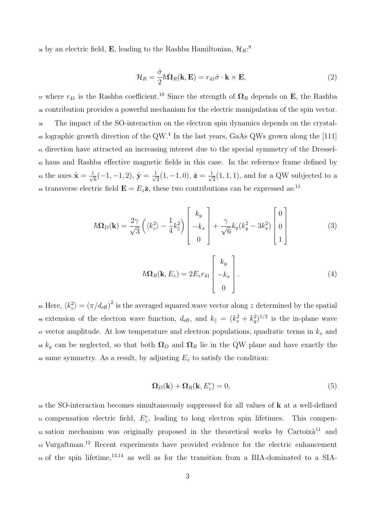<sup>36</sup> by an electric field, **E**, leading to the Rashba Hamiltonian,  $\mathcal{H}_R$ <sup>2</sup>

$$
\mathcal{H}_R = \frac{\hat{\sigma}}{2} \hbar \Omega_R(\mathbf{k}, \mathbf{E}) = r_{41} \hat{\sigma} \cdot \mathbf{k} \times \mathbf{E}, \tag{2}
$$

37 where  $r_{41}$  is the Rashba coefficient.<sup>10</sup> Since the strength of  $\Omega_R$  depends on **E**, the Rashba <sup>38</sup> contribution provides a powerful mechanism for the electric manipulation of the spin vector. <sup>39</sup> The impact of the SO-interaction on the electron spin dynamics depends on the crystal-<sup>40</sup> lographic growth direction of the QW.<sup>4</sup> In the last years, GaAs QWs grown along the [111] <sup>41</sup> direction have attracted an increasing interest due to the special symmetry of the Dressel-<sup>42</sup> haus and Rashba effective magnetic fields in this case. In the reference frame defined by the axes  $\hat{\mathbf{x}} = \frac{1}{\sqrt{2}}$ 6 (*−*1*, −*1*,* 2), **y**ˆ = *<sup>√</sup>* 1  $\hat{\mathbf{z}}_2(1,-1,0),\, \hat{\mathbf{z}}=\frac{1}{\sqrt{2}}$ 43 the axes  $\hat{\mathbf{x}} = \frac{1}{\sqrt{6}}(-1, -1, 2), \, \hat{\mathbf{y}} = \frac{1}{\sqrt{2}}(1, -1, 0), \, \hat{\mathbf{z}} = \frac{1}{\sqrt{3}}(1, 1, 1),$  and for a QW subjected to a <sup>44</sup> transverse electric field  $\mathbf{E} = E_z \hat{\mathbf{z}}$ , these two contributions can be expressed as:<sup>11</sup>

$$
\hbar\Omega_D(\mathbf{k}) = \frac{2\gamma}{\sqrt{3}} \left( \langle k_z^2 \rangle - \frac{1}{4} k_\parallel^2 \right) \begin{bmatrix} k_y \\ -k_x \\ 0 \end{bmatrix} + \frac{\gamma}{\sqrt{6}} k_y (k_y^2 - 3k_x^2) \begin{bmatrix} 0 \\ 0 \\ 1 \end{bmatrix}
$$
(3)

$$
\hbar\Omega_R(\mathbf{k}, E_z) = 2E_z r_{41} \begin{bmatrix} k_y \\ -k_x \\ 0 \end{bmatrix} . \tag{4}
$$

<sup>45</sup> Here,  $\langle k_z^2 \rangle = (\pi/d_{\text{eff}})^2$  is the averaged squared wave vector along *z* determined by the spatial <sup>46</sup> extension of the electron wave function,  $d_{\text{eff}}$ , and  $k_{\parallel} = (k_x^2 + k_y^2)^{1/2}$  is the in-plane wave <sup>47</sup> vector amplitude. At low temperature and electron populations, quadratic terms in *k<sup>x</sup>* and  $\mu$ <sup>8</sup>  $k_y$  can be neglected, so that both  $\Omega_D$  and  $\Omega_R$  lie in the QW plane and have exactly the 49 same symmetry. As a result, by adjusting  $E_z$  to satisfy the condition:

$$
\Omega_D(\mathbf{k}) + \Omega_R(\mathbf{k}, E_z^c) = 0,\tag{5}
$$

<sup>50</sup> the SO-interaction becomes simultaneously suppressed for all values of **k** at a well-defined  $\mathcal{L}$ <sub>51</sub> compensation electric field,  $E_z^c$ , leading to long electron spin lifetimes. This compen- $52$  sation mechanism was originally proposed in the theoretical works by Cartoix $\hat{a}^{11}$  and 53 Vurgaftman.<sup>12</sup> Recent experiments have provided evidence for the electric enhancement <sup>54</sup> of the spin lifetime,<sup>13,14</sup> as well as for the transition from a BIA-dominated to a SIA-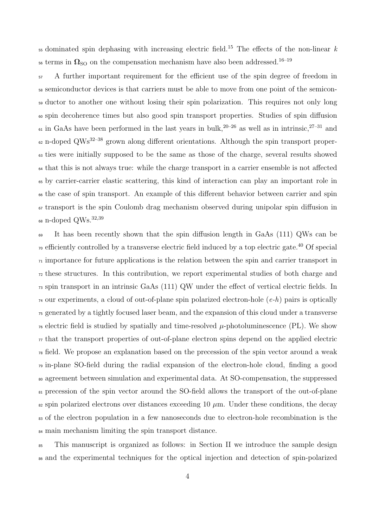dominated spin dephasing with increasing electric field.<sup>15</sup> The effects of the non-linear *k* <sup>56</sup> terms in  $\Omega_{\text{SO}}$  on the compensation mechanism have also been addressed.<sup>16–19</sup>

 A further important requirement for the efficient use of the spin degree of freedom in semiconductor devices is that carriers must be able to move from one point of the semicon- ductor to another one without losing their spin polarization. This requires not only long spin decoherence times but also good spin transport properties. Studies of spin diffusion <sup>61</sup> in GaAs have been performed in the last years in bulk,<sup>20–26</sup> as well as in intrinsic,<sup>27–31</sup> and <sup>62</sup> n-doped QWs<sup>32–38</sup> grown along different orientations. Although the spin transport proper- ties were initially supposed to be the same as those of the charge, several results showed that this is not always true: while the charge transport in a carrier ensemble is not affected by carrier-carrier elastic scattering, this kind of interaction can play an important role in the case of spin transport. An example of this different behavior between carrier and spin transport is the spin Coulomb drag mechanism observed during unipolar spin diffusion in  $_{68}$  n-doped  $\mathrm{QWs.}^{32,39}$ 

 It has been recently shown that the spin diffusion length in GaAs (111) QWs can be <sup>70</sup> efficiently controlled by a transverse electric field induced by a top electric gate.<sup>40</sup> Of special  $\tau_1$  importance for future applications is the relation between the spin and carrier transport in these structures. In this contribution, we report experimental studies of both charge and spin transport in an intrinsic GaAs (111) QW under the effect of vertical electric fields. In our experiments, a cloud of out-of-plane spin polarized electron-hole (*e-h*) pairs is optically generated by a tightly focused laser beam, and the expansion of this cloud under a transverse  $\tau_6$  electric field is studied by spatially and time-resolved  $\mu$ -photoluminescence (PL). We show  $\tau_7$  that the transport properties of out-of-plane electron spins depend on the applied electric field. We propose an explanation based on the precession of the spin vector around a weak in-plane SO-field during the radial expansion of the electron-hole cloud, finding a good agreement between simulation and experimental data. At SO-compensation, the suppressed precession of the spin vector around the SO-field allows the transport of the out-of-plane  $\epsilon_2$  spin polarized electrons over distances exceeding 10  $\mu$ m. Under these conditions, the decay of the electron population in a few nanoseconds due to electron-hole recombination is the main mechanism limiting the spin transport distance.

 This manuscript is organized as follows: in Section II we introduce the sample design and the experimental techniques for the optical injection and detection of spin-polarized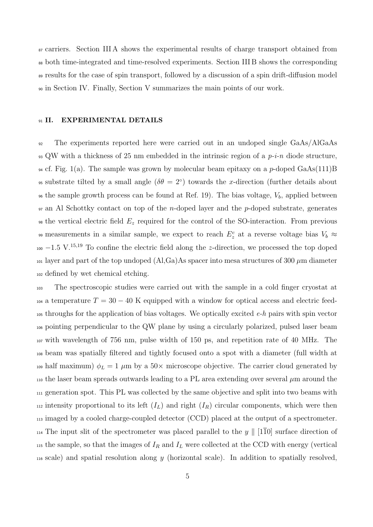carriers. Section III A shows the experimental results of charge transport obtained from both time-integrated and time-resolved experiments. Section III B shows the corresponding results for the case of spin transport, followed by a discussion of a spin drift-diffusion model in Section IV. Finally, Section V summarizes the main points of our work.

#### **II. EXPERIMENTAL DETAILS**

 The experiments reported here were carried out in an undoped single GaAs/AlGaAs QW with a thickness of 25 nm embedded in the intrinsic region of a *p-i-n* diode structure, cf. Fig. 1(a). The sample was grown by molecular beam epitaxy on a *p*-doped GaAs(111)B <sup>95</sup> substrate tilted by a small angle  $(\delta \theta = 2^{\circ})$  towards the *x*-direction (further details about  $\epsilon$  so the sample growth process can be found at Ref. 19). The bias voltage,  $V_b$ , applied between an Al Schottky contact on top of the *n*-doped layer and the *p*-doped substrate, generates the vertical electric field *E<sup>z</sup>* required for the control of the SO-interaction. From previous 99 measurements in a similar sample, we expect to reach  $E_z^c$  at a reverse voltage bias  $V_b \approx$  $100 - 1.5$  V.<sup>15,19</sup> To confine the electric field along the *z*-direction, we processed the top doped <sup>101</sup> layer and part of the top undoped  $(A, Ga)As$  spacer into mesa structures of 300  $\mu$ m diameter defined by wet chemical etching.

 The spectroscopic studies were carried out with the sample in a cold finger cryostat at <sup>104</sup> a temperature  $T = 30 - 40$  K equipped with a window for optical access and electric feed- throughs for the application of bias voltages. We optically excited *e-h* pairs with spin vector pointing perpendicular to the QW plane by using a circularly polarized, pulsed laser beam with wavelength of 756 nm, pulse width of 150 ps, and repetition rate of 40 MHz. The beam was spatially filtered and tightly focused onto a spot with a diameter (full width at 109 half maximum)  $\phi_L = 1 \mu$ m by a 50 $\times$  microscope objective. The carrier cloud generated by  $\mu$ <sup>110</sup> the laser beam spreads outwards leading to a PL area extending over several  $\mu$ m around the generation spot. This PL was collected by the same objective and split into two beams with 112 intensity proportional to its left  $(I_L)$  and right  $(I_R)$  circular components, which were then imaged by a cooled charge-coupled detector (CCD) placed at the output of a spectrometer. The input slit of the spectrometer was placed parallel to the *y ∥* [110] surface direction of 115 the sample, so that the images of  $I_R$  and  $I_L$  were collected at the CCD with energy (vertical scale) and spatial resolution along *y* (horizontal scale). In addition to spatially resolved,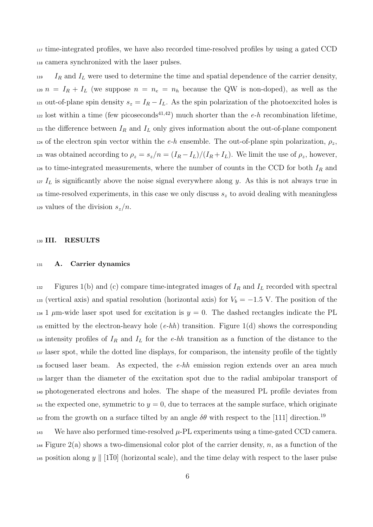<sup>117</sup> time-integrated profiles, we have also recorded time-resolved profiles by using a gated CCD <sup>118</sup> camera synchronized with the laser pulses.

<sup>119</sup> *I<sup>R</sup>* and *I<sup>L</sup>* were used to determine the time and spatial dependence of the carrier density, 120  $n = I_R + I_L$  (we suppose  $n = n_e = n_h$  because the QW is non-doped), as well as the 121 out-of-plane spin density  $s_z = I_R - I_L$ . As the spin polarization of the photoexcited holes is <sup>122</sup> lost within a time (few picoseconds<sup>41,42</sup>) much shorter than the *e-h* recombination lifetime, <sup>123</sup> the difference between  $I_R$  and  $I_L$  only gives information about the out-of-plane component 124 of the electron spin vector within the  $e-h$  ensemble. The out-of-plane spin polarization,  $\rho_z$ , 125 was obtained according to  $\rho_z = s_z/n = (I_R - I_L)/(I_R + I_L)$ . We limit the use of  $\rho_z$ , however, <sup>126</sup> to time-integrated measurements, where the number of counts in the CCD for both *I<sup>R</sup>* and <sup>127</sup> *I<sup>L</sup>* is significantly above the noise signal everywhere along *y*. As this is not always true in <sup>128</sup> time-resolved experiments, in this case we only discuss  $s<sub>z</sub>$  to avoid dealing with meaningless 129 values of the division  $s_z/n$ .

#### <sup>130</sup> **III. RESULTS**

#### <sup>131</sup> **A. Carrier dynamics**

132 Figures 1(b) and (c) compare time-integrated images of  $I_R$  and  $I_L$  recorded with spectral 133 (vertical axis) and spatial resolution (horizontal axis) for  $V_b = -1.5$  V. The position of the <sup>134</sup> 1  $\mu$ m-wide laser spot used for excitation is  $y = 0$ . The dashed rectangles indicate the PL <sup>135</sup> emitted by the electron-heavy hole (*e-hh*) transition. Figure 1(d) shows the corresponding <sup>136</sup> intensity profiles of *I<sup>R</sup>* and *I<sup>L</sup>* for the *e-hh* transition as a function of the distance to the <sup>137</sup> laser spot, while the dotted line displays, for comparison, the intensity profile of the tightly <sup>138</sup> focused laser beam. As expected, the *e-hh* emission region extends over an area much <sup>139</sup> larger than the diameter of the excitation spot due to the radial ambipolar transport of <sup>140</sup> photogenerated electrons and holes. The shape of the measured PL profile deviates from <sup>141</sup> the expected one, symmetric to  $y = 0$ , due to terraces at the sample surface, which originate <sup>142</sup> from the growth on a surface tilted by an angle  $\delta\theta$  with respect to the [111] direction.<sup>19</sup>

143 We have also performed time-resolved  $\mu$ -PL experiments using a time-gated CCD camera. <sup>144</sup> Figure 2(a) shows a two-dimensional color plot of the carrier density, *n*, as a function of the <sup>145</sup> position along *y*  $\parallel$  [1 $\overline{10}$ ] (horizontal scale), and the time delay with respect to the laser pulse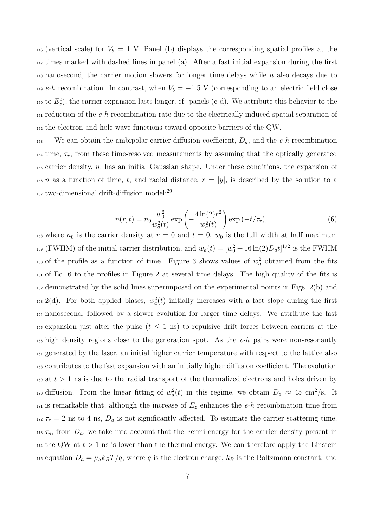<sup>146</sup> (vertical scale) for  $V_b = 1$  V. Panel (b) displays the corresponding spatial profiles at the <sup>147</sup> times marked with dashed lines in panel (a). After a fast initial expansion during the first <sup>148</sup> nanosecond, the carrier motion slowers for longer time delays while *n* also decays due to <sup>149</sup> *e-h* recombination. In contrast, when  $V_b = -1.5$  V (corresponding to an electric field close <sup>150</sup> to  $E_z^c$ ), the carrier expansion lasts longer, cf. panels (c-d). We attribute this behavior to the <sup>151</sup> reduction of the *e-h* recombination rate due to the electrically induced spatial separation of <sup>152</sup> the electron and hole wave functions toward opposite barriers of the QW.

<sup>153</sup> We can obtain the ambipolar carrier diffusion coefficient, *Da*, and the *e-h* recombination <sup>154</sup> time,  $\tau_r$ , from these time-resolved measurements by assuming that the optically generated <sup>155</sup> carrier density, *n*, has an initial Gaussian shape. Under these conditions, the expansion of <sup>156</sup> *n* as a function of time, *t*, and radial distance,  $r = |y|$ , is described by the solution to a 157 two-dimensional drift-diffusion model:<sup>29</sup>

$$
n(r,t) = n_0 \frac{w_0^2}{w_a^2(t)} \exp\left(-\frac{4\ln(2)r^2}{w_a^2(t)}\right) \exp(-t/\tau_r),\tag{6}
$$

<sup>158</sup> where  $n_0$  is the carrier density at  $r = 0$  and  $t = 0$ ,  $w_0$  is the full width at half maximum <sup>159</sup> (FWHM) of the initial carrier distribution, and  $w_a(t) = [w_0^2 + 16 \ln(2)D_a t]^{1/2}$  is the FWHM <sup>160</sup> of the profile as a function of time. Figure 3 shows values of  $w_a^2$  obtained from the fits <sup>161</sup> of Eq. 6 to the profiles in Figure 2 at several time delays. The high quality of the fits is <sup>162</sup> demonstrated by the solid lines superimposed on the experimental points in Figs. 2(b) and <sup>163</sup> 2(d). For both applied biases,  $w_a^2(t)$  initially increases with a fast slope during the first <sup>164</sup> nanosecond, followed by a slower evolution for larger time delays. We attribute the fast <sup>165</sup> expansion just after the pulse  $(t \leq 1 \text{ ns})$  to repulsive drift forces between carriers at the <sup>166</sup> high density regions close to the generation spot. As the *e-h* pairs were non-resonantly <sup>167</sup> generated by the laser, an initial higher carrier temperature with respect to the lattice also <sup>168</sup> contributes to the fast expansion with an initially higher diffusion coefficient. The evolution <sup>169</sup> at  $t > 1$  ns is due to the radial transport of the thermalized electrons and holes driven by  $\mu$ <sup>2</sup> diffusion. From the linear fitting of  $w_a^2(t)$  in this regime, we obtain  $D_a \approx 45 \text{ cm}^2/\text{s}$ . It <sup>171</sup> is remarkable that, although the increase of *E<sup>z</sup>* enhances the *e-h* recombination time from 172  $\tau_r = 2$  ns to 4 ns,  $D_a$  is not significantly affected. To estimate the carrier scattering time,  $\tau_p$ , from  $D_a$ , we take into account that the Fermi energy for the carrier density present in <sup>174</sup> the QW at  $t > 1$  ns is lower than the thermal energy. We can therefore apply the Einstein <sup>175</sup> equation  $D_a = \mu_a k_B T/q$ , where *q* is the electron charge,  $k_B$  is the Boltzmann constant, and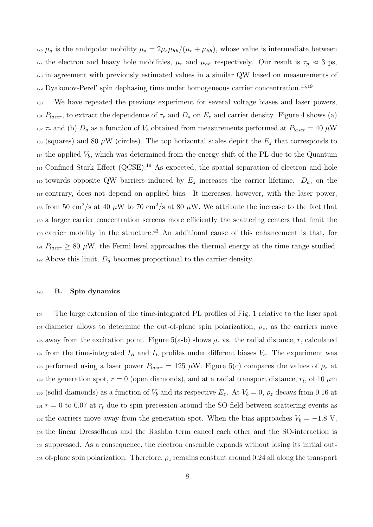<sup>176</sup>  $\mu_a$  is the ambipolar mobility  $\mu_a = 2\mu_e\mu_{hh}/(\mu_e + \mu_{hh})$ , whose value is intermediate between 177 the electron and heavy hole mobilities,  $\mu_e$  and  $\mu_{hh}$  respectively. Our result is  $\tau_p \approx 3$  ps, <sup>178</sup> in agreement with previously estimated values in a similar QW based on measurements of 179 Dyakonov-Perel' spin dephasing time under homogeneous carrier concentration.<sup>15,19</sup>

<sup>180</sup> We have repeated the previous experiment for several voltage biases and laser powers, 181  $P_{laser}$ , to extract the dependence of  $\tau_r$  and  $D_a$  on  $E_z$  and carrier density. Figure 4 shows (a) 182  $\tau_r$  and (b)  $D_a$  as a function of  $V_b$  obtained from measurements performed at  $P_{laser} = 40 \,\mu$ W 183 (squares) and 80  $\mu$ W (circles). The top horizontal scales depict the  $E_z$  that corresponds to  $_{184}$  the applied  $V_b$ , which was determined from the energy shift of the PL due to the Quantum 185 Confined Stark Effect (QCSE).<sup>19</sup> As expected, the spatial separation of electron and hole <sup>186</sup> towards opposite QW barriers induced by  $E_z$  increases the carrier lifetime.  $D_a$ , on the <sup>187</sup> contrary, does not depend on applied bias. It increases, however, with the laser power, <sup>188</sup> from 50 cm<sup>2</sup>/s at 40  $\mu$ W to 70 cm<sup>2</sup>/s at 80  $\mu$ W. We attribute the increase to the fact that <sup>189</sup> a larger carrier concentration screens more efficiently the scattering centers that limit the <sup>190</sup> carrier mobility in the structure.<sup>43</sup> An additional cause of this enhancement is that, for <sup>191</sup>  $P_{laser} \geq 80 \mu$ W, the Fermi level approaches the thermal energy at the time range studied. <sup>192</sup> Above this limit, *D<sup>a</sup>* becomes proportional to the carrier density.

#### <sup>193</sup> **B. Spin dynamics**

<sup>194</sup> The large extension of the time-integrated PL profiles of Fig. 1 relative to the laser spot 195 diameter allows to determine the out-of-plane spin polarization,  $\rho_z$ , as the carriers move <sup>196</sup> away from the excitation point. Figure 5(a-b) shows  $\rho_z$  vs. the radial distance, *r*, calculated 197 from the time-integrated  $I_R$  and  $I_L$  profiles under different biases  $V_b$ . The experiment was 198 performed using a laser power  $P_{laser} = 125 \mu W$ . Figure 5(c) compares the values of  $\rho_z$  at the generation spot,  $r = 0$  (open diamonds), and at a radial transport distance,  $r_t$ , of 10  $\mu$ m 200 (solid diamonds) as a function of  $V_b$  and its respective  $E_z$ . At  $V_b = 0$ ,  $\rho_z$  decays from 0.16 at <sup>201</sup>  $r = 0$  to 0.07 at  $r_t$  due to spin precession around the SO-field between scattering events as <sup>202</sup> the carriers move away from the generation spot. When the bias approaches  $V_b = -1.8$  V, <sup>203</sup> the linear Dresselhaus and the Rashba term cancel each other and the SO-interaction is <sup>204</sup> suppressed. As a consequence, the electron ensemble expands without losing its initial out-<sup>205</sup> of-plane spin polarization. Therefore, *ρ<sup>z</sup>* remains constant around 0*.*24 all along the transport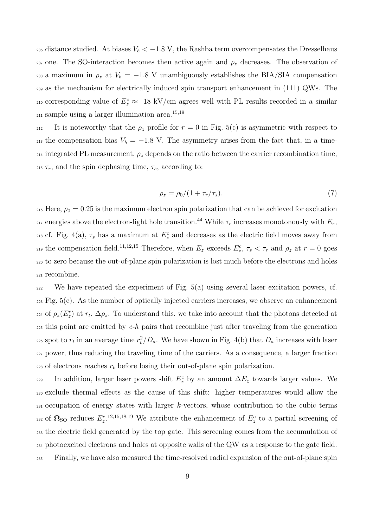<sup>206</sup> distance studied. At biases  $V_b < -1.8$  V, the Rashba term overcompensates the Dresselhaus <sup>207</sup> one. The SO-interaction becomes then active again and  $ρ<sub>z</sub>$  decreases. The observation of <sup>208</sup> a maximum in  $ρ_z$  at  $V_b = -1.8$  V unambiguously establishes the BIA/SIA compensation <sup>209</sup> as the mechanism for electrically induced spin transport enhancement in (111) QWs. The <sup>210</sup> corresponding value of  $E_z^c \approx 18 \text{ kV/cm}$  agrees well with PL results recorded in a similar  $_{211}$  sample using a larger illumination area.<sup>15,19</sup>

212 It is noteworthy that the  $\rho_z$  profile for  $r = 0$  in Fig. 5(c) is asymmetric with respect to 213 the compensation bias  $V_b = -1.8$  V. The asymmetry arises from the fact that, in a time- $_{214}$  integrated PL measurement,  $\rho_z$  depends on the ratio between the carrier recombination time, <sup>215</sup>  $\tau_r$ , and the spin dephasing time,  $\tau_s$ , according to:

$$
\rho_z = \rho_0 / (1 + \tau_r / \tau_s). \tag{7}
$$

<sup>216</sup> Here,  $\rho_0 = 0.25$  is the maximum electron spin polarization that can be achieved for excitation <sup>217</sup> energies above the electron-light hole transition.<sup>44</sup> While  $\tau_r$  increases monotonously with  $E_z$ , <sup>218</sup> cf. Fig. 4(a),  $\tau_s$  has a maximum at  $E_z^c$  and decreases as the electric field moves away from  $\sum_{z=10}^{10}$  the compensation field.<sup>11,12,15</sup> Therefore, when  $E_z$  exceeds  $E_z^c$ ,  $\tau_s < \tau_r$  and  $\rho_z$  at  $r=0$  goes <sup>220</sup> to zero because the out-of-plane spin polarization is lost much before the electrons and holes <sup>221</sup> recombine.

 $222$  We have repeated the experiment of Fig. 5(a) using several laser excitation powers, cf.  $223$  Fig.  $5(c)$ . As the number of optically injected carriers increases, we observe an enhancement <sup>224</sup> of  $ρ_z(E_z^c)$  at  $r_t$ ,  $Δρ_z$ . To understand this, we take into account that the photons detected at <sup>225</sup> this point are emitted by *e-h* pairs that recombine just after traveling from the generation <sup>226</sup> spot to  $r_t$  in an average time  $r_t^2/D_a$ . We have shown in Fig. 4(b) that  $D_a$  increases with laser <sup>227</sup> power, thus reducing the traveling time of the carriers. As a consequence, a larger fraction  $_{228}$  of electrons reaches  $r_t$  before losing their out-of-plane spin polarization.

229 In addition, larger laser powers shift  $E_z^c$  by an amount  $\Delta E_z$  towards larger values. We exclude thermal effects as the cause of this shift: higher temperatures would allow the occupation of energy states with larger *k*-vectors, whose contribution to the cubic terms 232 of  $\Omega$ <sub>SO</sub> reduces  $E_z^{c}$ <sup>12,15,18,19</sup> We attribute the enhancement of  $E_z^c$  to a partial screening of the electric field generated by the top gate. This screening comes from the accumulation of photoexcited electrons and holes at opposite walls of the QW as a response to the gate field. Finally, we have also measured the time-resolved radial expansion of the out-of-plane spin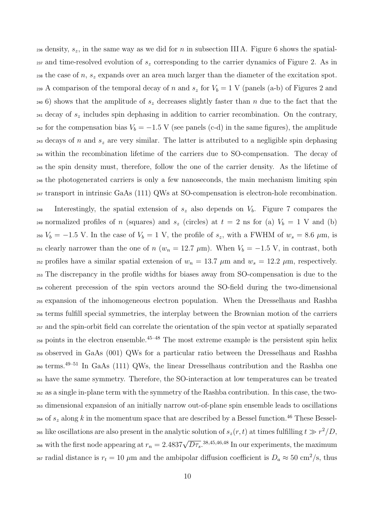density, *sz*, in the same way as we did for *n* in subsection III A. Figure 6 shows the spatial- and time-resolved evolution of *s<sup>z</sup>* corresponding to the carrier dynamics of Figure 2. As in the case of *n*, *s<sup>z</sup>* expands over an area much larger than the diameter of the excitation spot. <sup>239</sup> A comparison of the temporal decay of *n* and  $s_z$  for  $V_b = 1$  V (panels (a-b) of Figures 2 and 6) shows that the amplitude of *s<sup>z</sup>* decreases slightly faster than *n* due to the fact that the decay of *s<sup>z</sup>* includes spin dephasing in addition to carrier recombination. On the contrary, <sup>242</sup> for the compensation bias  $V_b = -1.5$  V (see panels (c-d) in the same figures), the amplitude decays of *n* and *s<sup>z</sup>* are very similar. The latter is attributed to a negligible spin dephasing within the recombination lifetime of the carriers due to SO-compensation. The decay of the spin density must, therefore, follow the one of the carrier density. As the lifetime of the photogenerated carriers is only a few nanoseconds, the main mechanism limiting spin transport in intrinsic GaAs (111) QWs at SO-compensation is electron-hole recombination.

 Interestingly, the spatial extension of *s<sup>z</sup>* also depends on *Vb*. Figure 7 compares the 249 normalized profiles of *n* (squares) and  $s_z$  (circles) at  $t = 2$  ns for (a)  $V_b = 1$  V and (b) <sup>250</sup>  $V_b = -1.5$  V. In the case of  $V_b = 1$  V, the profile of  $s_z$ , with a FWHM of  $w_s = 8.6$   $\mu$ m, is 251 clearly narrower than the one of *n* ( $w_n = 12.7 \mu m$ ). When  $V_b = -1.5 V$ , in contrast, both 252 profiles have a similar spatial extension of  $w_n = 13.7 \ \mu \text{m}$  and  $w_s = 12.2 \ \mu \text{m}$ , respectively. The discrepancy in the profile widths for biases away from SO-compensation is due to the coherent precession of the spin vectors around the SO-field during the two-dimensional expansion of the inhomogeneous electron population. When the Dresselhaus and Rashba terms fulfill special symmetries, the interplay between the Brownian motion of the carriers and the spin-orbit field can correlate the orientation of the spin vector at spatially separated  $_{258}$  points in the electron ensemble.<sup>45–48</sup> The most extreme example is the persistent spin helix observed in GaAs (001) QWs for a particular ratio between the Dresselhaus and Rashba terms.49–51 In GaAs (111) QWs, the linear Dresselhaus contribution and the Rashba one have the same symmetry. Therefore, the SO-interaction at low temperatures can be treated as a single in-plane term with the symmetry of the Rashba contribution. In this case, the two- dimensional expansion of an initially narrow out-of-plane spin ensemble leads to oscillations <sup>264</sup> of  $s_z$  along  $k$  in the momentum space that are described by a Bessel function.<sup>46</sup> These Bessel- $\alpha$ <sup>2</sup> at times fulfilling  $t \gg r^2/D$ ,  $\alpha$ <sub>2</sub> (*r*) at times fulfilling  $t \gg r^2/D$ , <sup>266</sup> with the first node appearing at  $r_n = 2.4837 \sqrt{D\tau_s}$ .<sup>38,45,46,48</sup> In our experiments, the maximum  $r_t$  and  $r_t$  = 10  $\mu$ m and the ambipolar diffusion coefficient is  $D_a \approx 50 \text{ cm}^2/\text{s}$ , thus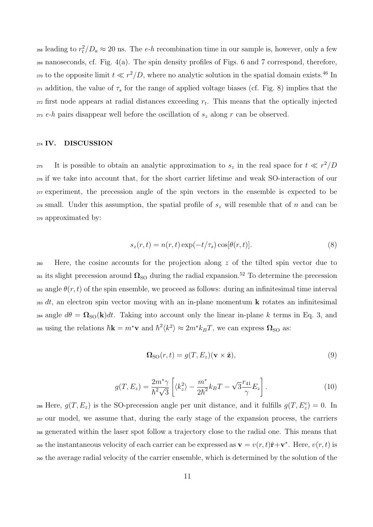$\alpha$ <sup>2</sup> leading to  $r_t^2/D_a \approx 20$  ns. The *e-h* recombination time in our sample is, however, only a few <sup>269</sup> nanoseconds, cf. Fig. 4(a). The spin density profiles of Figs. 6 and 7 correspond, therefore, <sup>270</sup> to the opposite limit  $t \ll r^2/D$ , where no analytic solution in the spatial domain exists.<sup>46</sup> In  $271$  addition, the value of  $\tau_s$  for the range of applied voltage biases (cf. Fig. 8) implies that the  $\frac{1}{272}$  first node appears at radial distances exceeding  $r_t$ . This means that the optically injected <sup>273</sup> *e-h* pairs disappear well before the oscillation of *s<sup>z</sup>* along *r* can be observed.

#### <sup>274</sup> **IV. DISCUSSION**

It is possible to obtain an analytic approximation to  $s_z$  in the real space for  $t \ll r^2/D$  if we take into account that, for the short carrier lifetime and weak SO-interaction of our experiment, the precession angle of the spin vectors in the ensemble is expected to be small. Under this assumption, the spatial profile of *s<sup>z</sup>* will resemble that of *n* and can be approximated by:

$$
s_z(r,t) = n(r,t) \exp(-t/\tau_s) \cos[\theta(r,t)].
$$
\n(8)

<sup>280</sup> Here, the cosine accounts for the projection along *z* of the tilted spin vector due to <sup>281</sup> its slight precession around  $\Omega_{\text{SO}}$  during the radial expansion.<sup>52</sup> To determine the precession <sup>282</sup> angle  $\theta(r, t)$  of the spin ensemble, we proceed as follows: during an infinitesimal time interval <sup>283</sup> *dt*, an electron spin vector moving with an in-plane momentum **k** rotates an infinitesimal <sup>284</sup> angle  $d\theta = \Omega_{\text{SO}}(\mathbf{k})dt$ . Taking into account only the linear in-plane k terms in Eq. 3, and 285 using the relations  $\hbar \mathbf{k} = m^* \mathbf{v}$  and  $\hbar^2 \langle k^2 \rangle \approx 2m^* k_B T$ , we can express  $\Omega_{\text{SO}}$  as:

$$
\Omega_{\rm SO}(r,t) = g(T, E_z)(\mathbf{v} \times \hat{\mathbf{z}}),\tag{9}
$$

$$
g(T, E_z) = \frac{2m^*\gamma}{\hbar^2\sqrt{3}} \left[ \langle k_z^2 \rangle - \frac{m^*}{2\hbar^2} k_B T - \sqrt{3}\frac{r_{41}}{\gamma} E_z \right]. \tag{10}
$$

<sup>286</sup> Here,  $g(T, E_z)$  is the SO-precession angle per unit distance, and it fulfills  $g(T, E_z^c) = 0$ . In <sup>287</sup> our model, we assume that, during the early stage of the expansion process, the carriers <sup>288</sup> generated within the laser spot follow a trajectory close to the radial one. This means that the instantaneous velocity of each carrier can be expressed as  $\mathbf{v} = v(r, t)\hat{\mathbf{r}} + \mathbf{v}^*$ . Here,  $v(r, t)$  is <sup>290</sup> the average radial velocity of the carrier ensemble, which is determined by the solution of the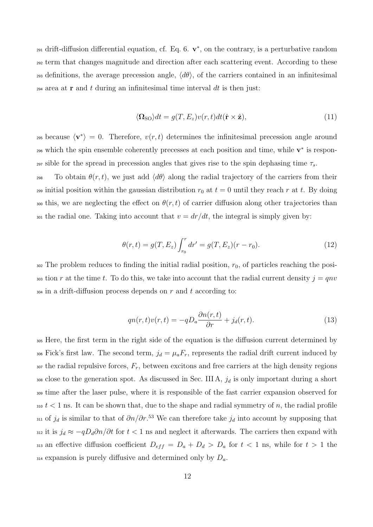291 drift-diffusion differential equation, cf. Eq. 6.  $\mathbf{v}^*$ , on the contrary, is a perturbative random term that changes magnitude and direction after each scattering event. According to these definitions, the average precession angle, *⟨dθ⟩*, of the carriers contained in an infinitesimal area at **r** and *t* during an infinitesimal time interval *dt* is then just:

$$
\langle \mathbf{\Omega}_{\rm SO} \rangle dt = g(T, E_z) v(r, t) dt (\hat{\mathbf{r}} \times \hat{\mathbf{z}}), \tag{11}
$$

295 because  $\langle v^* \rangle = 0$ . Therefore,  $v(r, t)$  determines the infinitesimal precession angle around 296 which the spin ensemble coherently precesses at each position and time, while  $\mathbf{v}^*$  is respon-<sup>297</sup> sible for the spread in precession angles that gives rise to the spin dephasing time *τs*.

298 To obtain  $\theta(r, t)$ , we just add  $\langle d\theta \rangle$  along the radial trajectory of the carriers from their <sup>299</sup> initial position within the gaussian distribution  $r_0$  at  $t = 0$  until they reach  $r$  at  $t$ . By doing 300 this, we are neglecting the effect on  $\theta(r,t)$  of carrier diffusion along other trajectories than  $\alpha$ <sub>301</sub> the radial one. Taking into account that  $v = dr/dt$ , the integral is simply given by:

$$
\theta(r,t) = g(T, E_z) \int_{r_0}^r dr' = g(T, E_z)(r - r_0). \tag{12}
$$

 $302$  The problem reduces to finding the initial radial position,  $r_0$ , of particles reaching the posi- $\frac{303}{4}$  tion *r* at the time *t*. To do this, we take into account that the radial current density  $j = qnv$ <sup>304</sup> in a drift-diffusion process depends on *r* and *t* according to:

$$
qn(r,t)v(r,t) = -qD_a \frac{\partial n(r,t)}{\partial r} + j_d(r,t).
$$
\n(13)

<sup>305</sup> Here, the first term in the right side of the equation is the diffusion current determined by <sup>306</sup> Fick's first law. The second term,  $j_d = \mu_a F_r$ , represents the radial drift current induced by  $\alpha$ <sub>307</sub> the radial repulsive forces,  $F_r$ , between excitons and free carriers at the high density regions <sup>308</sup> close to the generation spot. As discussed in Sec. III A, *j<sup>d</sup>* is only important during a short <sup>309</sup> time after the laser pulse, where it is responsible of the fast carrier expansion observed for  $310 \text{ } t < 1 \text{ ns}$ . It can be shown that, due to the shape and radial symmetry of *n*, the radial profile <sup>311</sup> of  $j_d$  is similar to that of  $\partial n/\partial r$ .<sup>53</sup> We can therefore take  $j_d$  into account by supposing that 312 it is  $j_d \approx -qD_d\partial n/\partial t$  for  $t < 1$  ns and neglect it afterwards. The carriers then expand with 313 an effective diffusion coefficient  $D_{eff} = D_a + D_d > D_a$  for  $t < 1$  ns, while for  $t > 1$  the <sup>314</sup> expansion is purely diffusive and determined only by *Da*.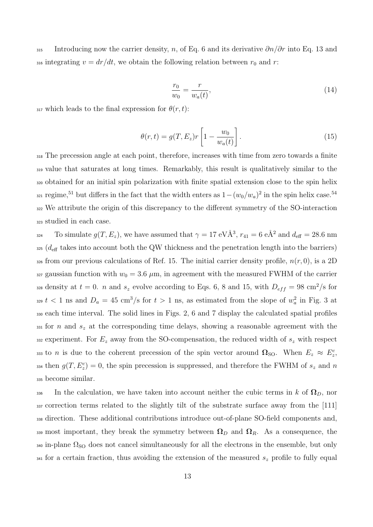<sup>315</sup> Introducing now the carrier density, *n*, of Eq. 6 and its derivative *∂n/∂r* into Eq. 13 and 316 integrating  $v = dr/dt$ , we obtain the following relation between  $r_0$  and  $r$ :

$$
\frac{r_0}{w_0} = \frac{r}{w_a(t)},
$$
\n(14)

317 which leads to the final expression for  $\theta(r, t)$ :

$$
\theta(r,t) = g(T, E_z)r\left[1 - \frac{w_0}{w_a(t)}\right].
$$
\n(15)

 The precession angle at each point, therefore, increases with time from zero towards a finite value that saturates at long times. Remarkably, this result is qualitatively similar to the obtained for an initial spin polarization with finite spatial extension close to the spin helix  $r_{321}$  regime,<sup>51</sup> but differs in the fact that the width enters as  $1-(w_0/w_a)^2$  in the spin helix case.<sup>54</sup> We attribute the origin of this discrepancy to the different symmetry of the SO-interaction studied in each case.

To simulate  $g(T, E_z)$ , we have assumed that  $\gamma = 17 \text{ eV} \text{\AA}^3$ ,  $r_{41} = 6 \text{ eA}^2$  and  $d_{\text{eff}} = 28.6 \text{ nm}$ <sup>325</sup> (*d*eff takes into account both the QW thickness and the penetration length into the barriers) <sup>326</sup> from our previous calculations of Ref. 15. The initial carrier density profile, *n*(*r,* 0), is a 2D  $327$  gaussian function with  $w_0 = 3.6 \mu m$ , in agreement with the measured FWHM of the carrier  $\alpha$ <sub>228</sub> density at  $t = 0$ . *n* and  $s_z$  evolve according to Eqs. 6, 8 and 15, with  $D_{eff} = 98 \text{ cm}^2/\text{s}$  for  $t < 1$  ns and  $D_a = 45$  cm<sup>3</sup>/s for  $t > 1$  ns, as estimated from the slope of  $w_a^2$  in Fig. 3 at <sup>330</sup> each time interval. The solid lines in Figs. 2, 6 and 7 display the calculated spatial profiles <sup>331</sup> for *n* and *s<sup>z</sup>* at the corresponding time delays, showing a reasonable agreement with the 332 experiment. For  $E_z$  away from the SO-compensation, the reduced width of  $s_z$  with respect to *n* is due to the coherent precession of the spin vector around  $\Omega$ <sub>SO</sub>. When  $E_z \approx E_z^c$ ,  $g(T, E_z^c) = 0$ , the spin precession is suppressed, and therefore the FWHM of  $s_z$  and *n* <sup>335</sup> become similar.

336 In the calculation, we have taken into account neither the cubic terms in *k* of  $\Omega_D$ , nor 337 correction terms related to the slightly tilt of the substrate surface away from the [111] <sup>338</sup> direction. These additional contributions introduce out-of-plane SO-field components and, 339 most important, they break the symmetry between  $\Omega_D$  and  $\Omega_R$ . As a consequence, the  $340$  in-plane  $\Omega_{\text{SO}}$  does not cancel simultaneously for all the electrons in the ensemble, but only <sup>341</sup> for a certain fraction, thus avoiding the extension of the measured *s<sup>z</sup>* profile to fully equal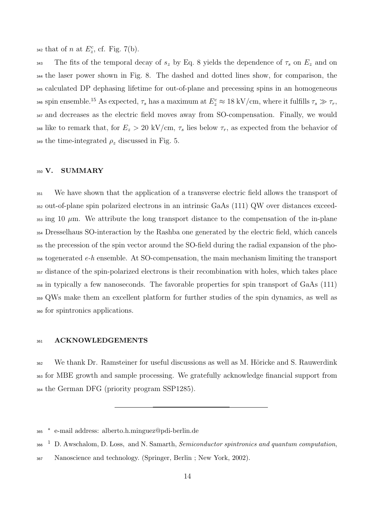$_{342}$  that of *n* at  $E_z^c$ , cf. Fig. 7(b).

<sup>343</sup> The fits of the temporal decay of  $s_z$  by Eq. 8 yields the dependence of  $\tau_s$  on  $E_z$  and on the laser power shown in Fig. 8. The dashed and dotted lines show, for comparison, the calculated DP dephasing lifetime for out-of-plane and precessing spins in an homogeneous  $\sigma$ <sup>346</sup> spin ensemble.<sup>15</sup> As expected,  $\tau_s$  has a maximum at  $E_z^c \approx 18 \text{ kV/cm}$ , where it fulfills  $\tau_s \gg \tau_r$ , and decreases as the electric field moves away from SO-compensation. Finally, we would <sup>348</sup> like to remark that, for  $E_z > 20 \text{ kV/cm}, \tau_s$  lies below  $\tau_r$ , as expected from the behavior of  $\alpha$ <sub>349</sub> the time-integrated  $\rho_z$  discussed in Fig. 5.

### **V. SUMMARY**

 We have shown that the application of a transverse electric field allows the transport of out-of-plane spin polarized electrons in an intrinsic GaAs (111) QW over distances exceed- $\frac{353}{353}$  ing 10  $\mu$ m. We attribute the long transport distance to the compensation of the in-plane Dresselhaus SO-interaction by the Rashba one generated by the electric field, which cancels the precession of the spin vector around the SO-field during the radial expansion of the pho- togenerated *e-h* ensemble. At SO-compensation, the main mechanism limiting the transport distance of the spin-polarized electrons is their recombination with holes, which takes place in typically a few nanoseconds. The favorable properties for spin transport of GaAs (111) QWs make them an excellent platform for further studies of the spin dynamics, as well as for spintronics applications.

#### **ACKNOWLEDGEMENTS**

<sup>362</sup> We thank Dr. Ramsteiner for useful discussions as well as M. Höricke and S. Rauwerdink for MBE growth and sample processing. We gratefully acknowledge financial support from the German DFG (priority program SSP1285).

*<sup>∗</sup>* e-mail address: alberto.h.minguez@pdi-berlin.de

<sup>1</sup> D. Awschalom, D. Loss, and N. Samarth, *Semiconductor spintronics and quantum computation*,

Nanoscience and technology. (Springer, Berlin ; New York, 2002).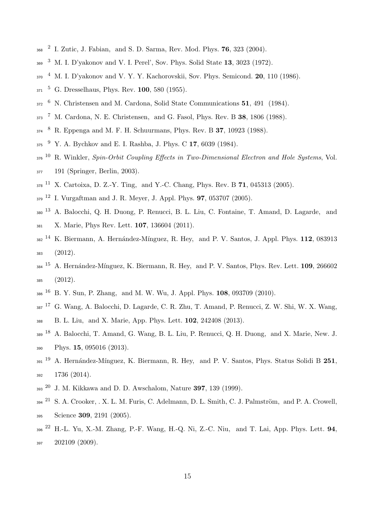- 2 I. Zutic, J. Fabian, and S. D. Sarma, Rev. Mod. Phys. **76**, 323 (2004).
- <sup>3</sup> M. I. D'yakonov and V. I. Perel', Sov. Phys. Solid State **13**, 3023 (1972).
- <sup>4</sup> M. I. D'yakonov and V. Y. Y. Kachorovskii, Sov. Phys. Semicond. **20**, 110 (1986).
- <sup>5</sup> G. Dresselhaus, Phys. Rev. **100**, 580 (1955).
- <sup>6</sup> N. Christensen and M. Cardona, Solid State Communications **51**, 491 (1984).
- <sup>7</sup> M. Cardona, N. E. Christensen, and G. Fasol, Phys. Rev. B **38**, 1806 (1988).
- <sup>8</sup> R. Eppenga and M. F. H. Schuurmans, Phys. Rev. B **37**, 10923 (1988).
- <sup>9</sup> Y. A. Bychkov and E. I. Rashba, J. Phys. C **17**, 6039 (1984).
- <sup>10</sup> R. Winkler, *Spin-Orbit Coupling Effects in Two-Dimensional Electron and Hole Systems*, Vol. 191 (Springer, Berlin, 2003).
- <sup>11</sup> X. Cartoixa, D. Z.-Y. Ting, and Y.-C. Chang, Phys. Rev. B **71**, 045313 (2005).
- <sup>12</sup> I. Vurgaftman and J. R. Meyer, J. Appl. Phys. **97**, 053707 (2005).
- <sup>13</sup> A. Balocchi, Q. H. Duong, P. Renucci, B. L. Liu, C. Fontaine, T. Amand, D. Lagarde, and X. Marie, Phys Rev. Lett. **107**, 136604 (2011).
- <sup>382</sup> <sup>14</sup> K. Biermann, A. Hernández-Mínguez, R. Hey, and P. V. Santos, J. Appl. Phys. **112**, 083913 (2012).
- <sup>384</sup> <sup>15</sup> A. Hernández-Mínguez, K. Biermann, R. Hey, and P. V. Santos, Phys. Rev. Lett. **109**, 266602 (2012).
- <sup>16</sup> B. Y. Sun, P. Zhang, and M. W. Wu, J. Appl. Phys. **108**, 093709 (2010).
- <sup>17</sup> G. Wang, A. Balocchi, D. Lagarde, C. R. Zhu, T. Amand, P. Renucci, Z. W. Shi, W. X. Wang,
- B. L. Liu, and X. Marie, App. Phys. Lett. **102**, 242408 (2013).
- <sup>18</sup> A. Balocchi, T. Amand, G. Wang, B. L. Liu, P. Renucci, Q. H. Duong, and X. Marie, New. J. Phys. **15**, 095016 (2013).
- <sup>391</sup> A. Hernández-Mínguez, K. Biermann, R. Hey, and P. V. Santos, Phys. Status Solidi B 251, 1736 (2014).
- <sup>20</sup> J. M. Kikkawa and D. D. Awschalom, Nature **397**, 139 (1999).
- $_{294}$  <sup>21</sup> S. A. Crooker, . X. L. M. Furis, C. Adelmann, D. L. Smith, C. J. Palmström, and P. A. Crowell, Science **309**, 2191 (2005).
- <sup>22</sup> H.-L. Yu, X.-M. Zhang, P.-F. Wang, H.-Q. Ni, Z.-C. Niu, and T. Lai, App. Phys. Lett. **94**, 202109 (2009).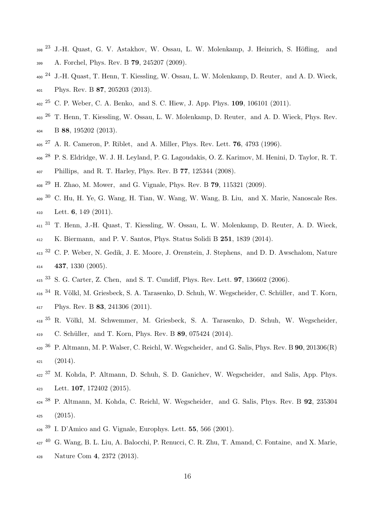- $_{298}$  <sup>23</sup> J.-H. Quast, G. V. Astakhov, W. Ossau, L. W. Molenkamp, J. Heinrich, S. Höfling, and A. Forchel, Phys. Rev. B **79**, 245207 (2009).
- <sup>24</sup> J.-H. Quast, T. Henn, T. Kiessling, W. Ossau, L. W. Molenkamp, D. Reuter, and A. D. Wieck, Phys. Rev. B **87**, 205203 (2013).
- <sup>25</sup> C. P. Weber, C. A. Benko, and S. C. Hiew, J. App. Phys. **109**, 106101 (2011).
- <sup>403</sup> T. Henn, T. Kiessling, W. Ossau, L. W. Molenkamp, D. Reuter, and A. D. Wieck, Phys. Rev. B **88**, 195202 (2013).
- <sup>27</sup> A. R. Cameron, P. Riblet, and A. Miller, Phys. Rev. Lett. **76**, 4793 (1996).
- <sup>28</sup> P. S. Eldridge, W. J. H. Leyland, P. G. Lagoudakis, O. Z. Karimov, M. Henini, D. Taylor, R. T. Phillips, and R. T. Harley, Phys. Rev. B **77**, 125344 (2008).
- <sup>29</sup> H. Zhao, M. Mower, and G. Vignale, Phys. Rev. B **79**, 115321 (2009).
- $_{409}$  30 C. Hu, H. Ye, G. Wang, H. Tian, W. Wang, W. Wang, B. Liu, and X. Marie, Nanoscale Res. Lett. **6**, 149 (2011).
- <sup>31</sup> T. Henn, J.-H. Quast, T. Kiessling, W. Ossau, L. W. Molenkamp, D. Reuter, A. D. Wieck, K. Biermann, and P. V. Santos, Phys. Status Solidi B **251**, 1839 (2014).
- <sup>32</sup> C. P. Weber, N. Gedik, J. E. Moore, J. Orenstein, J. Stephens, and D. D. Awschalom, Nature **437**, 1330 (2005).
- <sup>33</sup> S. G. Carter, Z. Chen, and S. T. Cundiff, Phys. Rev. Lett. **97**, 136602 (2006).
- <sup>416</sup> <sup>34</sup> R. Völkl, M. Griesbeck, S. A. Tarasenko, D. Schuh, W. Wegscheider, C. Schüller, and T. Korn, Phys. Rev. B **83**, 241306 (2011).
- <sup>418 35</sup> R. Völkl, M. Schwemmer, M. Griesbeck, S. A. Tarasenko, D. Schuh, W. Wegscheider, C. Sch¨uller, and T. Korn, Phys. Rev. B **89**, 075424 (2014).
- <sup>36</sup> P. Altmann, M. P. Walser, C. Reichl, W. Wegscheider, and G. Salis, Phys. Rev. B **90**, 201306(R)  $(2014)$ .
- <sup>422</sup> <sup>37</sup> M. Kohda, P. Altmann, D. Schuh, S. D. Ganichev, W. Wegscheider, and Salis, App. Phys. Lett. **107**, 172402 (2015).
- <sup>38</sup> P. Altmann, M. Kohda, C. Reichl, W. Wegscheider, and G. Salis, Phys. Rev. B **92**, 235304  $(2015)$ .
- <sup>39</sup> I. D'Amico and G. Vignale, Europhys. Lett. **55**, 566 (2001).
- <sup>40</sup> G. Wang, B. L. Liu, A. Balocchi, P. Renucci, C. R. Zhu, T. Amand, C. Fontaine, and X. Marie, Nature Com **4**, 2372 (2013).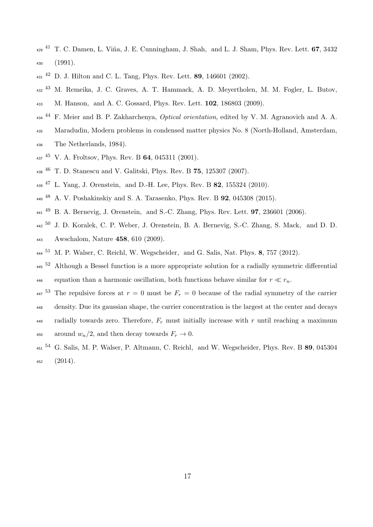- <sup>41</sup> T. C. Damen, L. Vi˜na, J. E. Cunningham, J. Shah, and L. J. Sham, Phys. Rev. Lett. **67**, 3432 (1991).
- <sup>42</sup> D. J. Hilton and C. L. Tang, Phys. Rev. Lett. **89**, 146601 (2002).
- <sup>43</sup> M. Remeika, J. C. Graves, A. T. Hammack, A. D. Meyertholen, M. M. Fogler, L. Butov,
- M. Hanson, and A. C. Gossard, Phys. Rev. Lett. **102**, 186803 (2009).
- <sup>44</sup> F. Meier and B. P. Zakharchenya, *Optical orientation*, edited by V. M. Agranovich and A. A.
- Maradudin, Modern problems in condensed matter physics No. 8 (North-Holland, Amsterdam,
- The Netherlands, 1984).
- <sup>45</sup> V. A. Froltsov, Phys. Rev. B **64**, 045311 (2001).
- <sup>46</sup> T. D. Stanescu and V. Galitski, Phys. Rev. B **75**, 125307 (2007).
- <sup>47</sup> L. Yang, J. Orenstein, and D.-H. Lee, Phys. Rev. B **82**, 155324 (2010).
- <sup>48</sup> A. V. Poshakinskiy and S. A. Tarasenko, Phys. Rev. B **92**, 045308 (2015).
- <sup>49</sup> B. A. Bernevig, J. Orenstein, and S.-C. Zhang, Phys. Rev. Lett. **97**, 236601 (2006).
- <sup>50</sup> J. D. Koralek, C. P. Weber, J. Orenstein, B. A. Bernevig, S.-C. Zhang, S. Mack, and D. D. Awschalom, Nature **458**, 610 (2009).
- M. P. Walser, C. Reichl, W. Wegscheider, and G. Salis, Nat. Phys. **8**, 757 (2012).
- Although a Bessel function is a more appropriate solution for a radially symmetric differential 446 equation than a harmonic oscillation, both functions behave similar for  $r \ll r_n$ .
- $_{447}$ <sup>53</sup> The repulsive forces at  $r = 0$  must be  $F_r = 0$  because of the radial symmetry of the carrier
- density. Due its gaussian shape, the carrier concentration is the largest at the center and decays
- radially towards zero. Therefore, *F<sup>r</sup>* must initially increase with *r* until reaching a maximum 450 around  $w_n/2$ , and then decay towards  $F_r \to 0$ .
- <sup>54</sup> G. Salis, M. P. Walser, P. Altmann, C. Reichl, and W. Wegscheider, Phys. Rev. B **89**, 045304  $(2014)$ .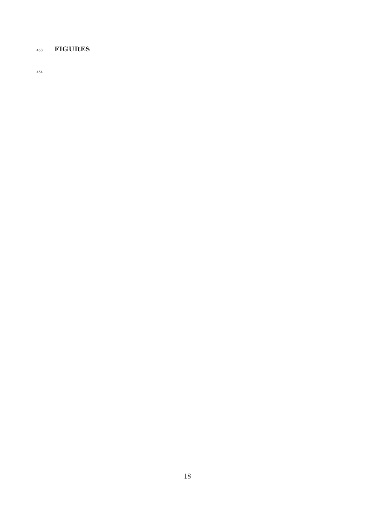# **FIGURES**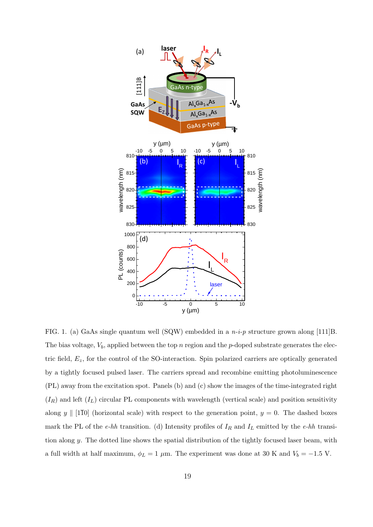

FIG. 1. (a) GaAs single quantum well (SQW) embedded in a *n-i-p* structure grown along [111]B. The bias voltage, *Vb*, applied between the top *n* region and the *p*-doped substrate generates the electric field, *Ez*, for the control of the SO-interaction. Spin polarized carriers are optically generated by a tightly focused pulsed laser. The carriers spread and recombine emitting photoluminescence (PL) away from the excitation spot. Panels (b) and (c) show the images of the time-integrated right  $(I_R)$  and left  $(I_L)$  circular PL components with wavelength (vertical scale) and position sensitivity along *y*  $\|$  [110] (horizontal scale) with respect to the generation point, *y* = 0. The dashed boxes mark the PL of the *e-hh* transition. (d) Intensity profiles of *I<sup>R</sup>* and *I<sup>L</sup>* emitted by the *e-hh* transition along *y*. The dotted line shows the spatial distribution of the tightly focused laser beam, with a full width at half maximum,  $\phi_L = 1 \mu$ m. The experiment was done at 30 K and  $V_b = -1.5$  V.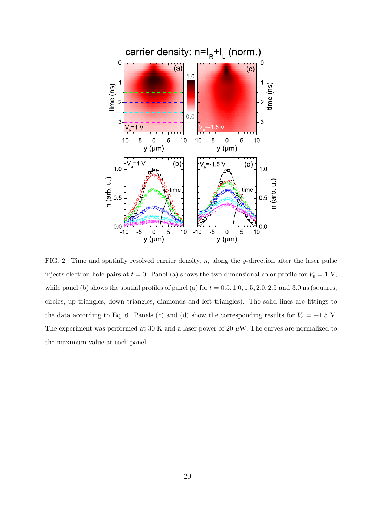

FIG. 2. Time and spatially resolved carrier density, *n*, along the *y*-direction after the laser pulse injects electron-hole pairs at  $t = 0$ . Panel (a) shows the two-dimensional color profile for  $V_b = 1$  V, while panel (b) shows the spatial profiles of panel (a) for  $t = 0.5, 1.0, 1.5, 2.0, 2.5$  and 3.0 ns (squares, circles, up triangles, down triangles, diamonds and left triangles). The solid lines are fittings to the data according to Eq. 6. Panels (c) and (d) show the corresponding results for  $V_b = -1.5$  V. The experiment was performed at 30 K and a laser power of 20  $\mu$ W. The curves are normalized to the maximum value at each panel.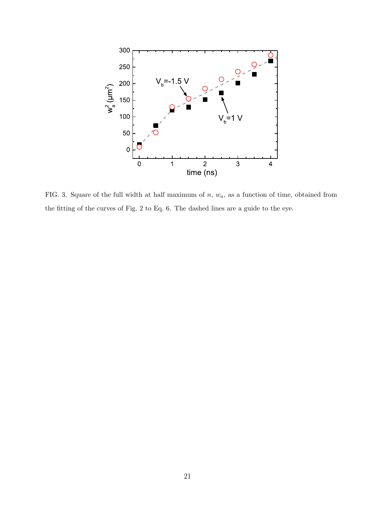

FIG. 3. Square of the full width at half maximum of *n*, *wa*, as a function of time, obtained from the fitting of the curves of Fig. 2 to Eq. 6. The dashed lines are a guide to the eye.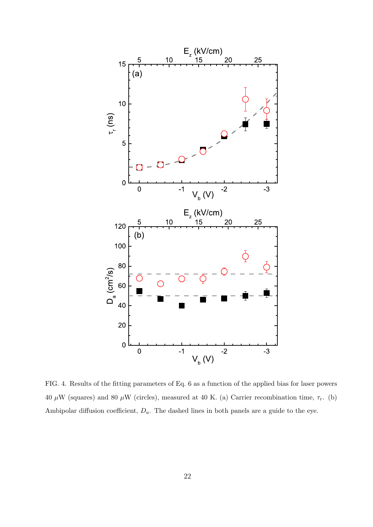

FIG. 4. Results of the fitting parameters of Eq. 6 as a function of the applied bias for laser powers 40  $\mu$ W (squares) and 80  $\mu$ W (circles), measured at 40 K. (a) Carrier recombination time,  $\tau_r$ . (b) Ambipolar diffusion coefficient,  $D_a$ . The dashed lines in both panels are a guide to the eye.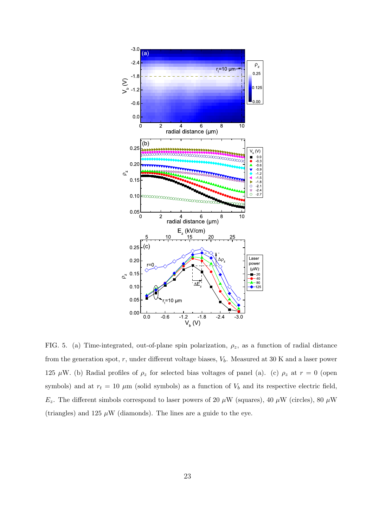

FIG. 5. (a) Time-integrated, out-of-plane spin polarization, *ρz*, as a function of radial distance from the generation spot, *r*, under different voltage biases, *Vb*. Measured at 30 K and a laser power 125  $\mu$ W. (b) Radial profiles of  $\rho_z$  for selected bias voltages of panel (a). (c)  $\rho_z$  at  $r = 0$  (open symbols) and at  $r_t = 10 \mu m$  (solid symbols) as a function of  $V_b$  and its respective electric field,  $E_z$ . The different simbols correspond to laser powers of 20 *µW* (squares), 40 *µW* (circles), 80 *µW* (triangles) and 125  $\mu$ W (diamonds). The lines are a guide to the eye.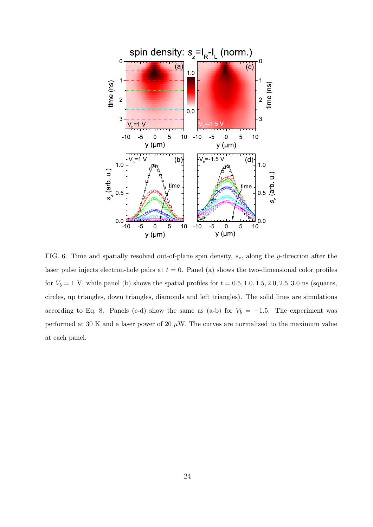

FIG. 6. Time and spatially resolved out-of-plane spin density, *sz*, along the *y*-direction after the laser pulse injects electron-hole pairs at  $t = 0$ . Panel (a) shows the two-dimensional color profiles for  $V_b = 1$  V, while panel (b) shows the spatial profiles for  $t = 0.5, 1.0, 1.5, 2.0, 2.5, 3.0$  ns (squares, circles, up triangles, down triangles, diamonds and left triangles). The solid lines are simulations according to Eq. 8. Panels (c-d) show the same as (a-b) for  $V_b = -1.5$ . The experiment was performed at 30 K and a laser power of 20  $\mu$ W. The curves are normalized to the maximum value at each panel.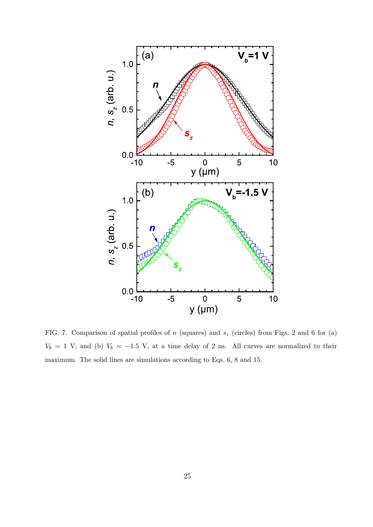

FIG. 7. Comparison of spatial profiles of *n* (squares) and *s<sup>z</sup>* (circles) from Figs. 2 and 6 for (a)  $V_b = 1$  V, and (b)  $V_b = -1.5$  V, at a time delay of 2 ns. All curves are normalized to their maximum. The solid lines are simulations according to Eqs. 6, 8 and 15.